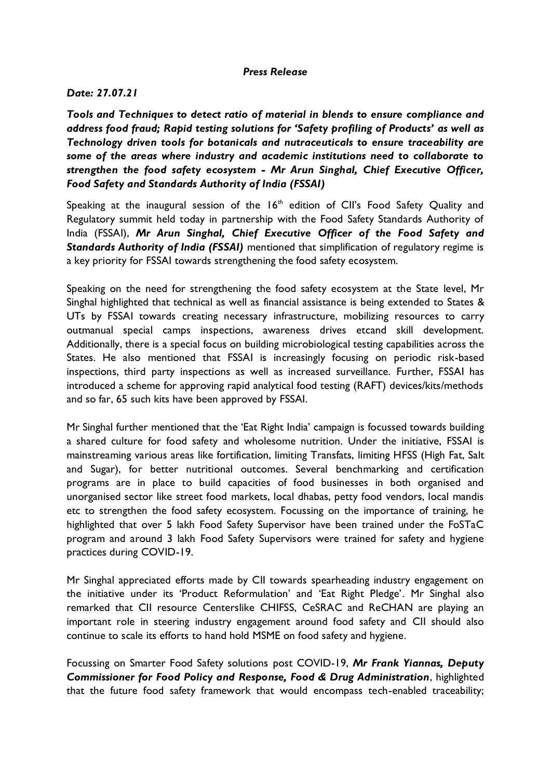## *Press Release*

## *Date: 27.07.21*

*Tools and Techniques to detect ratio of material in blends to ensure compliance and address food fraud; Rapid testing solutions for 'Safety profiling of Products' as well as Technology driven tools for botanicals and nutraceuticals to ensure traceability are some of the areas where industry and academic institutions need to collaborate to strengthen the food safety ecosystem - Mr Arun Singhal, Chief Executive Officer, Food Safety and Standards Authority of India (FSSAI)*

Speaking at the inaugural session of the  $16<sup>th</sup>$  edition of CII's Food Safety Quality and Regulatory summit held today in partnership with the Food Safety Standards Authority of India (FSSAI), *Mr Arun Singhal, Chief Executive Officer of the Food Safety and Standards Authority of India (FSSAI)* mentioned that simplification of regulatory regime is a key priority for FSSAI towards strengthening the food safety ecosystem.

Speaking on the need for strengthening the food safety ecosystem at the State level, Mr Singhal highlighted that technical as well as financial assistance is being extended to States & UTs by FSSAI towards creating necessary infrastructure, mobilizing resources to carry outmanual special camps inspections, awareness drives etcand skill development. Additionally, there is a special focus on building microbiological testing capabilities across the States. He also mentioned that FSSAI is increasingly focusing on periodic risk-based inspections, third party inspections as well as increased surveillance. Further, FSSAI has introduced a scheme for approving rapid analytical food testing (RAFT) devices/kits/methods and so far, 65 such kits have been approved by FSSAI.

Mr Singhal further mentioned that the 'Eat Right India' campaign is focussed towards building a shared culture for food safety and wholesome nutrition. Under the initiative, FSSAI is mainstreaming various areas like fortification, limiting Transfats, limiting HFSS (High Fat, Salt and Sugar), for better nutritional outcomes. Several benchmarking and certification programs are in place to build capacities of food businesses in both organised and unorganised sector like street food markets, local dhabas, petty food vendors, local mandis etc to strengthen the food safety ecosystem. Focussing on the importance of training, he highlighted that over 5 lakh Food Safety Supervisor have been trained under the FoSTaC program and around 3 lakh Food Safety Supervisors were trained for safety and hygiene practices during COVID-19.

Mr Singhal appreciated efforts made by CII towards spearheading industry engagement on the initiative under its 'Product Reformulation' and 'Eat Right Pledge'. Mr Singhal also remarked that CII resource Centerslike CHIFSS, CeSRAC and ReCHAN are playing an important role in steering industry engagement around food safety and CII should also continue to scale its efforts to hand hold MSME on food safety and hygiene.

Focussing on Smarter Food Safety solutions post COVID-19, *Mr Frank Yiannas, Deputy Commissioner for Food Policy and Response, Food & Drug Administration*, highlighted that the future food safety framework that would encompass tech-enabled traceability;